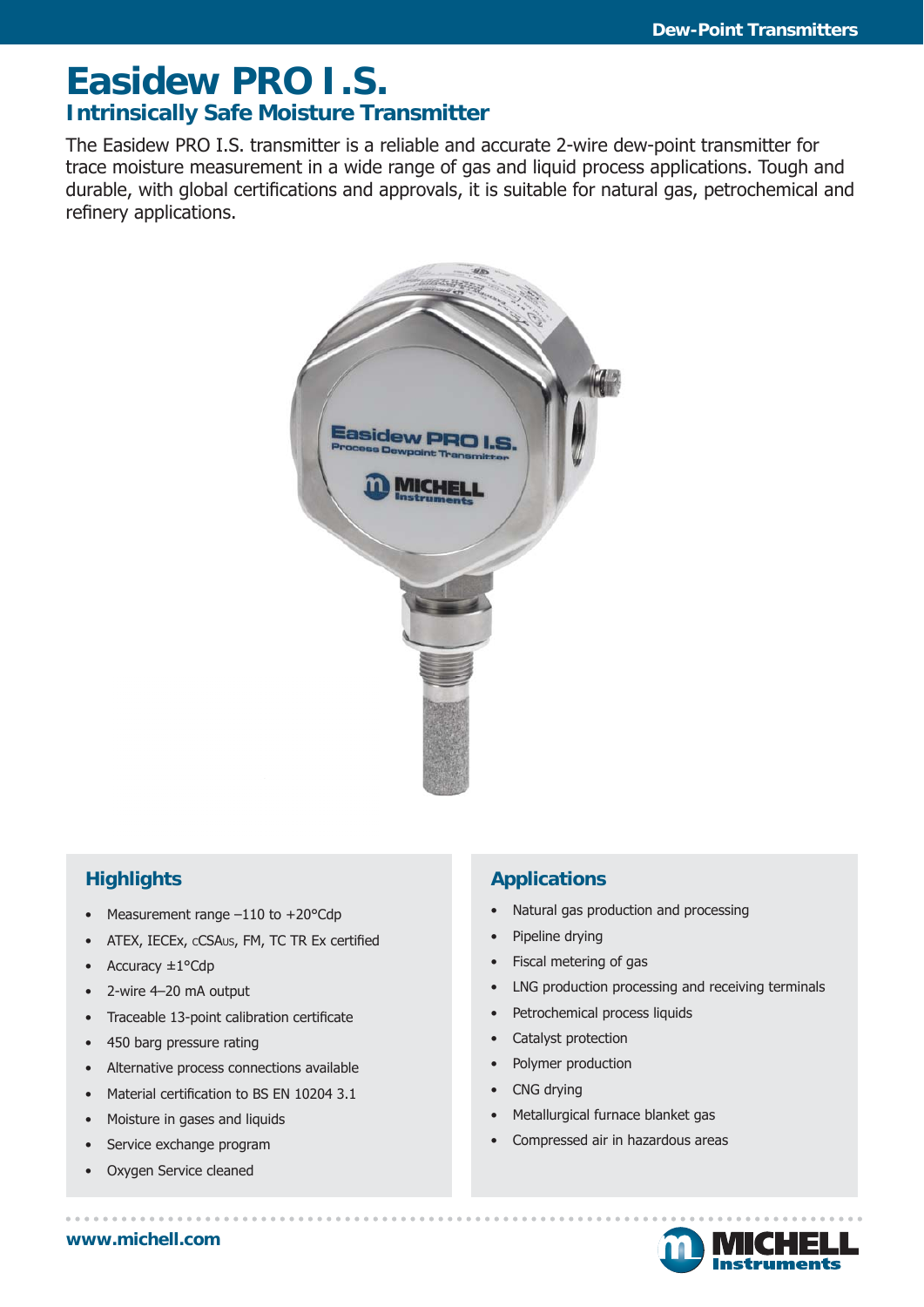## **Easidew PRO I.S. Intrinsically Safe Moisture Transmitter**

The Easidew PRO I.S. transmitter is a reliable and accurate 2-wire dew-point transmitter for trace moisture measurement in a wide range of gas and liquid process applications. Tough and durable, with global certifications and approvals, it is suitable for natural gas, petrochemical and refinery applications.



## **Highlights**

- Measurement range  $-110$  to  $+20^{\circ}$ Cdp
- ATEX, IECEx, cCSAus, FM, TC TR Ex certified
- Accuracy  $\pm 1$ °Cdp
- 2-wire 4–20 mA output
- Traceable 13-point calibration certificate
- 450 barg pressure rating
- Alternative process connections available
- Material certification to BS EN 10204 3.1
- Moisture in gases and liquids
- Service exchange program
- Oxygen Service cleaned

### **Applications**

- Natural gas production and processing
- Pipeline drying
- Fiscal metering of gas
- LNG production processing and receiving terminals
- Petrochemical process liquids
- Catalyst protection
- Polymer production
- CNG drving
- Metallurgical furnace blanket gas
- Compressed air in hazardous areas

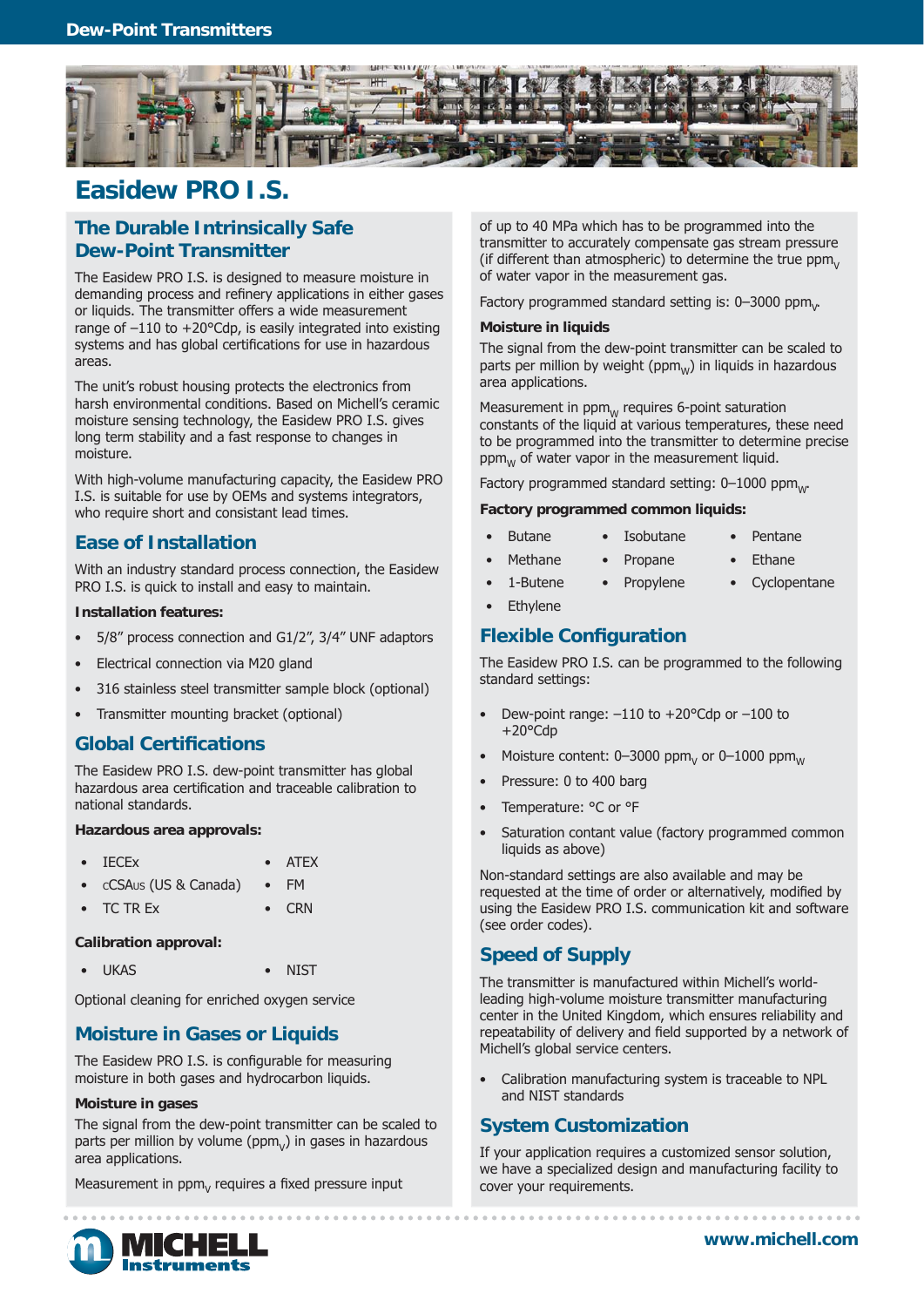

## **Easidew PRO I.S.**

#### **The Durable Intrinsically Safe Dew-Point Transmitter**

The Easidew PRO I.S. is designed to measure moisture in demanding process and refinery applications in either gases or liquids. The transmitter offers a wide measurement range of –110 to +20°Cdp, is easily integrated into existing systems and has global certifications for use in hazardous areas.

The unit's robust housing protects the electronics from harsh environmental conditions. Based on Michell's ceramic moisture sensing technology, the Easidew PRO I.S. gives long term stability and a fast response to changes in moisture.

With high-volume manufacturing capacity, the Easidew PRO I.S. is suitable for use by OEMs and systems integrators, who require short and consistant lead times.

#### **Ease of Installation**

With an industry standard process connection, the Easidew PRO I.S. is quick to install and easy to maintain.

#### **Installation features:**

- 5/8" process connection and G1/2", 3/4" UNF adaptors
- Electrical connection via M20 gland
- 316 stainless steel transmitter sample block (optional)
- Transmitter mounting bracket (optional)

#### **Global Certifi cations**

The Easidew PRO I.S. dew-point transmitter has global hazardous area certification and traceable calibration to national standards.

#### **Hazardous area approvals:**

- IECEx ATEX
- CCSAUS (US & Canada) FM
- TC TREx CRN

**Calibration approval:**

• UKAS • NIST

Optional cleaning for enriched oxygen service

#### **Moisture in Gases or Liquids**

The Easidew PRO I.S. is configurable for measuring moisture in both gases and hydrocarbon liquids.

#### **Moisture in gases**

The signal from the dew-point transmitter can be scaled to parts per million by volume ( $ppm<sub>v</sub>$ ) in gases in hazardous area applications.

Measurement in  $ppm<sub>v</sub>$  requires a fixed pressure input

of up to 40 MPa which has to be programmed into the transmitter to accurately compensate gas stream pressure (if different than atmospheric) to determine the true  $ppm<sub>v</sub>$ of water vapor in the measurement gas.

Factory programmed standard setting is: 0–3000 ppm<sub>v</sub>.

#### **Moisture in liquids**

The signal from the dew-point transmitter can be scaled to parts per million by weight ( $ppm_w$ ) in liquids in hazardous area applications.

Measurement in  $\mathsf{ppm}_\mathsf{W}$  requires 6-point saturation constants of the liquid at various temperatures, these need to be programmed into the transmitter to determine precise  $ppm_w$  of water vapor in the measurement liquid.

Factory programmed standard setting:  $0-1000$  ppm $_{\text{w}}$ .

#### **Factory programmed common liquids:**

- Butane Isobutane Pentane
	-
	- Methane Propane Ethane
		-
- 1-Butene Propylene Cyclopentane
- **Ethylene**

#### **Flexible Configuration**

The Easidew PRO I.S. can be programmed to the following standard settings:

- Dew-point range:  $-110$  to  $+20^{\circ}$ Cdp or  $-100$  to +20°Cdp
- Moisture content:  $0-3000$  ppm<sub>V</sub> or  $0-1000$  ppm
- Pressure: 0 to 400 barg
- Temperature: °C or °F
- Saturation contant value (factory programmed common liquids as above)

Non-standard settings are also available and may be requested at the time of order or alternatively, modified by using the Easidew PRO I.S. communication kit and software (see order codes).

#### **Speed of Supply**

The transmitter is manufactured within Michell's worldleading high-volume moisture transmitter manufacturing center in the United Kingdom, which ensures reliability and repeatability of delivery and field supported by a network of Michell's global service centers.

• Calibration manufacturing system is traceable to NPL and NIST standards

#### **System Customization**

If your application requires a customized sensor solution, we have a specialized design and manufacturing facility to cover your requirements.

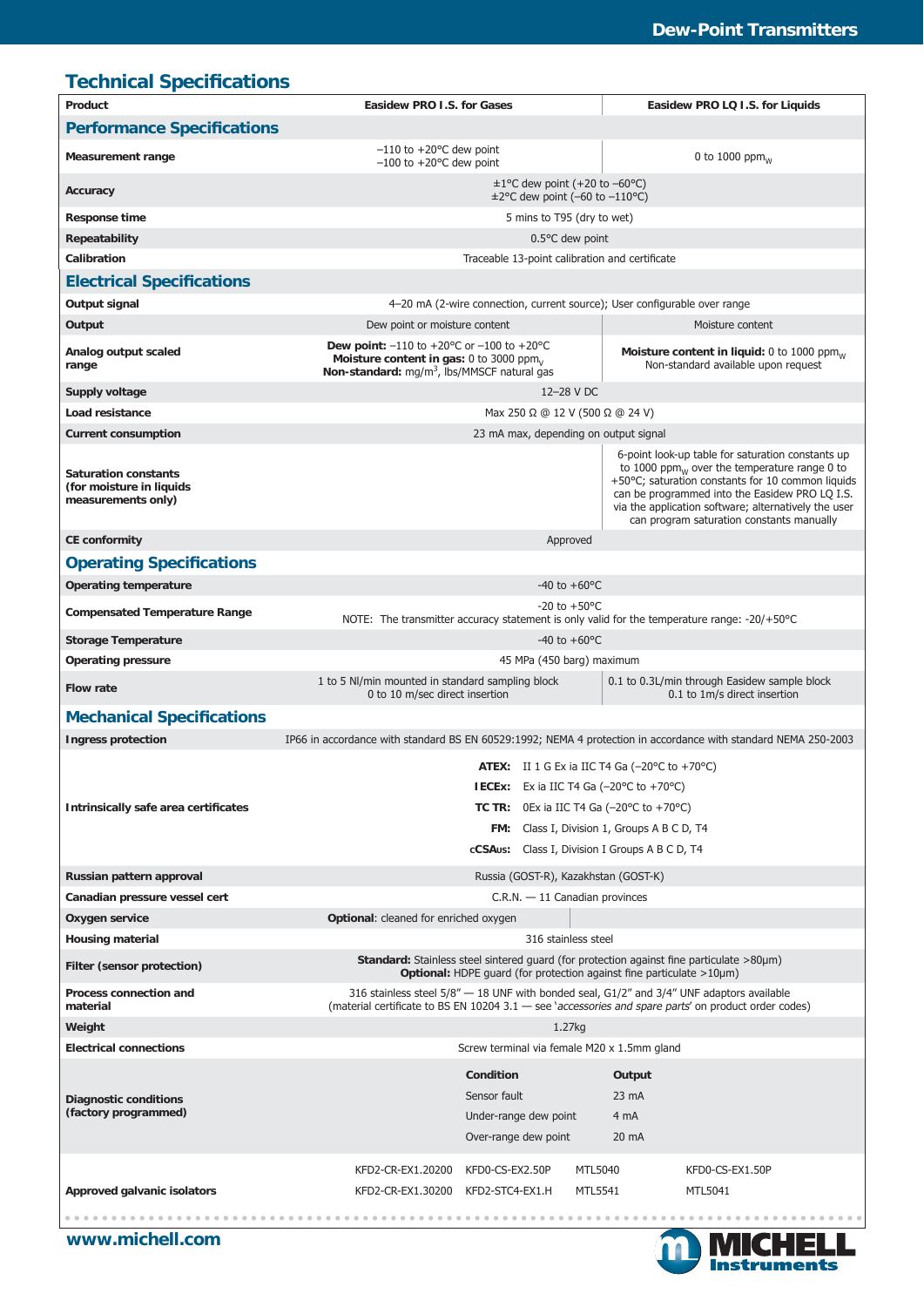| <b>Technical Specifications</b>                                               |                                                                                                                                                                                                                                                                                                               |                                                                                                                                                                                                                                                                                                                            |  |
|-------------------------------------------------------------------------------|---------------------------------------------------------------------------------------------------------------------------------------------------------------------------------------------------------------------------------------------------------------------------------------------------------------|----------------------------------------------------------------------------------------------------------------------------------------------------------------------------------------------------------------------------------------------------------------------------------------------------------------------------|--|
| Product                                                                       | Easidew PRO I.S. for Gases                                                                                                                                                                                                                                                                                    | Easidew PRO LQ I.S. for Liquids                                                                                                                                                                                                                                                                                            |  |
| <b>Performance Specifications</b>                                             |                                                                                                                                                                                                                                                                                                               |                                                                                                                                                                                                                                                                                                                            |  |
| <b>Measurement range</b>                                                      | $-110$ to $+20$ <sup>o</sup> C dew point<br>$-100$ to $+20$ °C dew point                                                                                                                                                                                                                                      | 0 to 1000 ppm $_{W}$                                                                                                                                                                                                                                                                                                       |  |
| Accuracy                                                                      | $\pm 1$ °C dew point (+20 to -60°C)<br>$\pm$ 2°C dew point (-60 to -110°C)                                                                                                                                                                                                                                    |                                                                                                                                                                                                                                                                                                                            |  |
| <b>Response time</b>                                                          | 5 mins to T95 (dry to wet)                                                                                                                                                                                                                                                                                    |                                                                                                                                                                                                                                                                                                                            |  |
| Repeatability                                                                 | $0.5$ °C dew point                                                                                                                                                                                                                                                                                            |                                                                                                                                                                                                                                                                                                                            |  |
| Calibration                                                                   | Traceable 13-point calibration and certificate                                                                                                                                                                                                                                                                |                                                                                                                                                                                                                                                                                                                            |  |
| <b>Electrical Specifications</b>                                              |                                                                                                                                                                                                                                                                                                               |                                                                                                                                                                                                                                                                                                                            |  |
| Output signal                                                                 | 4-20 mA (2-wire connection, current source); User configurable over range                                                                                                                                                                                                                                     |                                                                                                                                                                                                                                                                                                                            |  |
| Output                                                                        | Dew point or moisture content                                                                                                                                                                                                                                                                                 | Moisture content                                                                                                                                                                                                                                                                                                           |  |
| Analog output scaled<br>range                                                 | Dew point: $-110$ to $+20^{\circ}$ C or $-100$ to $+20^{\circ}$ C<br>Moisture content in gas: 0 to 3000 ppm $_{\rm V}$<br>Non-standard: $mg/m3$ , lbs/MMSCF natural gas                                                                                                                                       | Moisture content in liquid: 0 to 1000 ppm $_w$<br>Non-standard available upon request                                                                                                                                                                                                                                      |  |
| Supply voltage                                                                | 12-28 V DC                                                                                                                                                                                                                                                                                                    |                                                                                                                                                                                                                                                                                                                            |  |
| Load resistance                                                               | Max 250 $\Omega$ @ 12 V (500 $\Omega$ @ 24 V)                                                                                                                                                                                                                                                                 |                                                                                                                                                                                                                                                                                                                            |  |
| <b>Current consumption</b>                                                    | 23 mA max, depending on output signal                                                                                                                                                                                                                                                                         |                                                                                                                                                                                                                                                                                                                            |  |
| <b>Saturation constants</b><br>(for moisture in liquids<br>measurements only) |                                                                                                                                                                                                                                                                                                               | 6-point look-up table for saturation constants up<br>to 1000 ppm $_{\text{W}}$ over the temperature range 0 to<br>+50°C; saturation constants for 10 common liquids<br>can be programmed into the Easidew PRO LQ I.S.<br>via the application software; alternatively the user<br>can program saturation constants manually |  |
| <b>CE conformity</b>                                                          | Approved                                                                                                                                                                                                                                                                                                      |                                                                                                                                                                                                                                                                                                                            |  |
| <b>Operating Specifications</b>                                               |                                                                                                                                                                                                                                                                                                               |                                                                                                                                                                                                                                                                                                                            |  |
| <b>Operating temperature</b>                                                  | $-40$ to $+60$ °C                                                                                                                                                                                                                                                                                             |                                                                                                                                                                                                                                                                                                                            |  |
| <b>Compensated Temperature Range</b>                                          | $-20$ to $+50$ °C<br>NOTE: The transmitter accuracy statement is only valid for the temperature range: $-20/+50^{\circ}$ C                                                                                                                                                                                    |                                                                                                                                                                                                                                                                                                                            |  |
| <b>Storage Temperature</b>                                                    | $-40$ to $+60$ °C                                                                                                                                                                                                                                                                                             |                                                                                                                                                                                                                                                                                                                            |  |
| <b>Operating pressure</b>                                                     | 45 MPa (450 barg) maximum                                                                                                                                                                                                                                                                                     |                                                                                                                                                                                                                                                                                                                            |  |
| <b>Flow rate</b>                                                              | 1 to 5 NI/min mounted in standard sampling block<br>0 to 10 m/sec direct insertion                                                                                                                                                                                                                            | 0.1 to 0.3L/min through Easidew sample block<br>0.1 to 1m/s direct insertion                                                                                                                                                                                                                                               |  |
| <b>Mechanical Specifications</b>                                              |                                                                                                                                                                                                                                                                                                               |                                                                                                                                                                                                                                                                                                                            |  |
| <b>Ingress protection</b>                                                     | IP66 in accordance with standard BS EN 60529:1992; NEMA 4 protection in accordance with standard NEMA 250-2003                                                                                                                                                                                                |                                                                                                                                                                                                                                                                                                                            |  |
| Intrinsically safe area certificates                                          | ATEX: II 1 G Ex ia IIC T4 Ga $(-20^{\circ}$ C to $+70^{\circ}$ C)<br><b>IECEx:</b> Ex ia IIC T4 Ga $(-20^{\circ}C \text{ to } +70^{\circ}C)$<br>TC TR: OEx ia IIC T4 Ga $(-20^{\circ}$ C to $+70^{\circ}$ C)<br>FM: Class I, Division 1, Groups A B C D, T4<br>cCSAus: Class I, Division I Groups A B C D, T4 |                                                                                                                                                                                                                                                                                                                            |  |
| Russian pattern approval                                                      | Russia (GOST-R), Kazakhstan (GOST-K)                                                                                                                                                                                                                                                                          |                                                                                                                                                                                                                                                                                                                            |  |
| Canadian pressure vessel cert                                                 | $C.R.N. - 11$ Canadian provinces                                                                                                                                                                                                                                                                              |                                                                                                                                                                                                                                                                                                                            |  |
| Oxygen service                                                                | Optional: cleaned for enriched oxygen                                                                                                                                                                                                                                                                         |                                                                                                                                                                                                                                                                                                                            |  |
| <b>Housing material</b>                                                       | 316 stainless steel                                                                                                                                                                                                                                                                                           |                                                                                                                                                                                                                                                                                                                            |  |
| Filter (sensor protection)                                                    | Standard: Stainless steel sintered guard (for protection against fine particulate >80µm)<br>Optional: HDPE guard (for protection against fine particulate >10µm)                                                                                                                                              |                                                                                                                                                                                                                                                                                                                            |  |
| Process connection and<br>material                                            | 316 stainless steel $5/8'' - 18$ UNF with bonded seal, G1/2" and 3/4" UNF adaptors available<br>(material certificate to BS EN 10204 3.1 - see 'accessories and spare parts' on product order codes)                                                                                                          |                                                                                                                                                                                                                                                                                                                            |  |
| Weight                                                                        | 1.27kg                                                                                                                                                                                                                                                                                                        |                                                                                                                                                                                                                                                                                                                            |  |
| <b>Electrical connections</b>                                                 | Screw terminal via female M20 x 1.5mm gland                                                                                                                                                                                                                                                                   |                                                                                                                                                                                                                                                                                                                            |  |
| <b>Diagnostic conditions</b><br>(factory programmed)                          | Condition<br>Sensor fault<br>Under-range dew point<br>Over-range dew point                                                                                                                                                                                                                                    | Output<br>$23 \text{ mA}$<br>4 mA<br>20 mA                                                                                                                                                                                                                                                                                 |  |
| Approved galvanic isolators                                                   | MTL5040<br>KFD2-CR-EX1.20200<br>KFD0-CS-EX2.50P<br>KFD2-CR-EX1.30200<br>KFD2-STC4-EX1.H<br>MTL5541                                                                                                                                                                                                            | KFD0-CS-EX1.50P<br>MTL5041                                                                                                                                                                                                                                                                                                 |  |
|                                                                               |                                                                                                                                                                                                                                                                                                               |                                                                                                                                                                                                                                                                                                                            |  |

**www.michell.com**